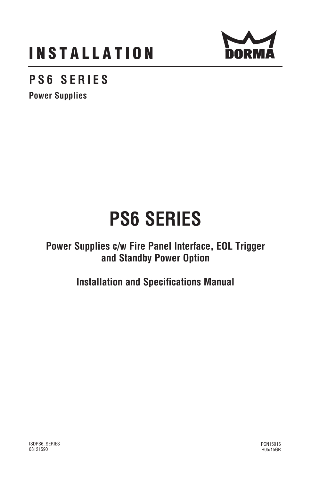## **INSTALLATION**



## **PS6 SERIES**

**Power Supplies**

# **PS6 SERIES**

## **Power Supplies c/w Fire Panel Interface, EOL Trigger and Standby Power Option**

## **Installation and Specifications Manual**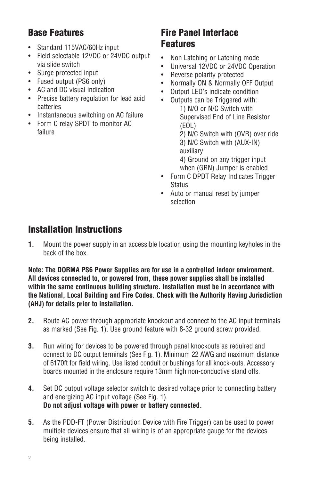## Base Features

- • Standard 115VAC/60Hz input
- • Field selectable 12VDC or 24VDC output via slide switch
- Surge protected input
- • Fused output (PS6 only)
- AC and DC visual indication
- • Precise battery regulation for lead acid batteries
- Instantaneous switching on AC failure
- • Form C relay SPDT to monitor AC failure

## Fire Panel Interface **Features**

- Non Latching or Latching mode
- • Universal 12VDC or 24VDC Operation
- • Reverse polarity protected
- • Normally ON & Normally OFF Output
- Output LED's indicate condition
- • Outputs can be Triggered with: 1) N/O or N/C Switch with Supervised End of Line Resistor (EOL)

 2) N/C Switch with (OVR) over ride 3) N/C Switch with (AUX-IN) auxiliary

 4) Ground on any trigger input when (GRN) Jumper is enabled

- • Form C DPDT Relay Indicates Trigger Status
- Auto or manual reset by jumper selection

## Installation Instructions

**1.** Mount the power supply in an accessible location using the mounting keyholes in the back of the box.

**Note: The DORMA PS6 Power Supplies are for use in a controlled indoor environment. All devices connected to, or powered from, these power supplies shall be installed within the same continuous building structure. Installation must be in accordance with the National, Local Building and Fire Codes. Check with the Authority Having Jurisdiction (AHJ) for details prior to installation.**

- **2.** Route AC power through appropriate knockout and connect to the AC input terminals as marked (See Fig. 1). Use ground feature with 8-32 ground screw provided.
- **3.** Run wiring for devices to be powered through panel knockouts as required and connect to DC output terminals (See Fig. 1). Minimum 22 AWG and maximum distance of 6170ft for field wiring. Use listed conduit or bushings for all knock-outs. Accessory boards mounted in the enclosure require 13mm high non-conductive stand offs.
- **4.** Set DC output voltage selector switch to desired voltage prior to connecting battery and energizing AC input voltage (See Fig. 1). **Do not adjust voltage with power or battery connected.**
- **5.** As the PDD-FT (Power Distribution Device with Fire Trigger) can be used to power multiple devices ensure that all wiring is of an appropriate gauge for the devices being installed.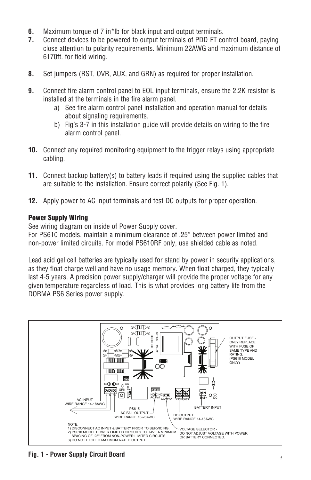- **6.** Maximum torque of 7 in\*lb for black input and output terminals.
- **7.** Connect devices to be powered to output terminals of PDD-FT control board, paying close attention to polarity requirements. Minimum 22AWG and maximum distance of 6170ft. for field wiring.
- **8.** Set jumpers (RST, OVR, AUX, and GRN) as required for proper installation.
- **9.** Connect fire alarm control panel to EOL input terminals, ensure the 2.2K resistor is installed at the terminals in the fire alarm panel.
	- a) See fire alarm control panel installation and operation manual for details about signaling requirements.
	- b) Fig's 3-7 in this installation quide will provide details on wiring to the fire alarm control panel.
- **10.** Connect any required monitoring equipment to the trigger relays using appropriate cabling.
- **11.** Connect backup battery(s) to battery leads if required using the supplied cables that are suitable to the installation. Ensure correct polarity (See Fig. 1).
- **12.** Apply power to AC input terminals and test DC outputs for proper operation.

#### Power Supply Wiring

See wiring diagram on inside of Power Supply cover.

For PS610 models, maintain a minimum clearance of .25" between power limited and non-power limited circuits. For model PS610RF only, use shielded cable as noted.

Lead acid gel cell batteries are typically used for stand by power in security applications, as they float charge well and have no usage memory. When float charged, they typically last 4-5 years. A precision power supply/charger will provide the proper voltage for any given temperature regardless of load. This is what provides long battery life from the DORMA PS6 Series power supply.



**Fig. 1 - Power Supply Circuit Board** <sup>3</sup>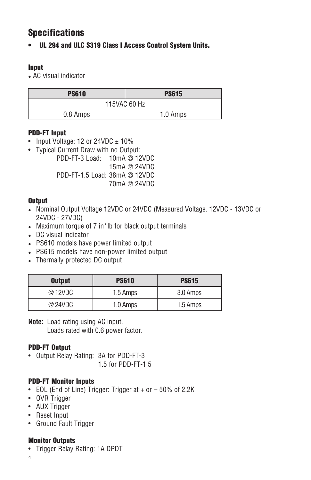## **Specifications**

• UL 294 and ULC S319 Class I Access Control System Units.

#### Input

● AC visual indicator

| <b>PS610</b> | <b>PS615</b> |  |  |  |  |
|--------------|--------------|--|--|--|--|
| 115VAC 60 Hz |              |  |  |  |  |
| 0.8 Amps     | 1.0 Amps     |  |  |  |  |

#### PDD-FT Input

• Input Voltage: 12 or  $24VDC \pm 10\%$ 

• Typical Current Draw with no Output: PDD-FT-3 Load: 10mA @ 12VDC 15mA @ 24VDC PDD-FT-1.5 Load: 38mA @ 12VDC 70mA @ 24VDC

#### **Output**

- Nominal Output Voltage 12VDC or 24VDC (Measured Voltage. 12VDC 13VDC or 24VDC - 27VDC)
- Maximum torque of 7 in\*lb for black output terminals
- DC visual indicator
- PS610 models have power limited output
- PS615 models have non-power limited output
- Thermally protected DC output

| <b>Output</b> | <b>PS610</b> | <b>PS615</b> |
|---------------|--------------|--------------|
| @ 12VDC       | 1.5 Amps     | 3.0 Amps     |
| @ 24VDC       | 1.0 Amps     | 1.5 Amps     |

**Note:** Load rating using AC input. Loads rated with 0.6 power factor.

#### PDD-FT Output

• Output Relay Rating: 3A for PDD-FT-3

1.5 for PDD-FT-1.5

#### PDD-FT Monitor Inputs

- EOL (End of Line) Trigger: Trigger at  $+$  or  $-$  50% of 2.2K
- • OVR Trigger
- • AUX Trigger
- • Reset Input
- Ground Fault Trigger

#### Monitor Outputs

• Trigger Relay Rating: 1A DPDT

 $\overline{A}$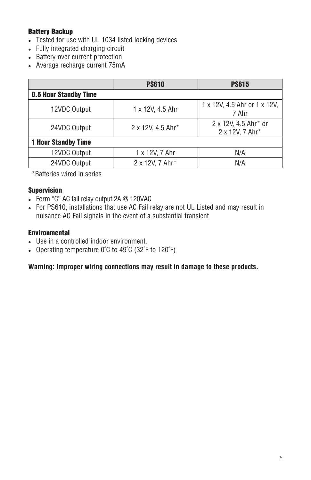#### Battery Backup

- Tested for use with UL 1034 listed locking devices
- Fully integrated charging circuit
- Battery over current protection
- Average recharge current 75mA

|                              | <b>PS610</b>      | <b>PS615</b>                            |  |  |  |  |
|------------------------------|-------------------|-----------------------------------------|--|--|--|--|
| <b>0.5 Hour Standby Time</b> |                   |                                         |  |  |  |  |
| 12VDC Output                 | 1 x 12V, 4.5 Ahr  | 1 x 12V, 4.5 Ahr or 1 x 12V,<br>7 Ahr   |  |  |  |  |
| 24VDC Output                 | 2 x 12V, 4.5 Ahr* | 2 x 12V, 4.5 Ahr* or<br>2 x 12V, 7 Ahr* |  |  |  |  |
| <b>1 Hour Standby Time</b>   |                   |                                         |  |  |  |  |
| 12VDC Output                 | 1 x 12V, 7 Ahr    | N/A                                     |  |  |  |  |
| 24VDC Output                 | 2 x 12V, 7 Ahr*   | N/A                                     |  |  |  |  |

\*Batteries wired in series

#### **Supervision**

- Form "C" AC fail relay output 2A @ 120VAC
- For PS610, installations that use AC Fail relay are not UL Listed and may result in nuisance AC Fail signals in the event of a substantial transient

#### **Environmental**

- Use in a controlled indoor environment.
- Operating temperature  $0^{\circ}$ C to 49 $^{\circ}$ C (32 $^{\circ}$ F to 120 $^{\circ}$ F)

**Warning: Improper wiring connections may result in damage to these products.**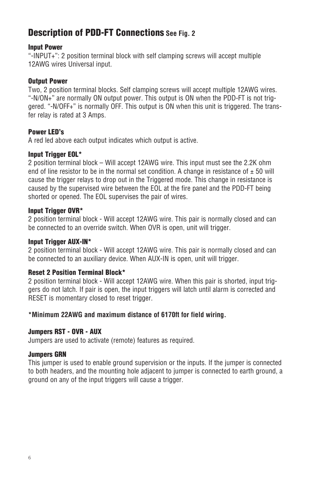## Description of PDD-FT Connections **See Fig. 2**

#### Input Power

"-INPUT+": 2 position terminal block with self clamping screws will accept multiple 12AWG wires Universal input.

#### Output Power

Two, 2 position terminal blocks. Self clamping screws will accept multiple 12AWG wires. "-N/ON+" are normally ON output power. This output is ON when the PDD-FT is not triggered. "-N/OFF+" is normally OFF. This output is ON when this unit is triggered. The transfer relay is rated at 3 Amps.

#### Power LED's

A red led above each output indicates which output is active.

#### Input Trigger EOL\*

2 position terminal block – Will accept 12AWG wire. This input must see the 2.2K ohm end of line resistor to be in the normal set condition. A change in resistance of  $\pm$  50 will cause the trigger relays to drop out in the Triggered mode. This change in resistance is caused by the supervised wire between the EOL at the fire panel and the PDD-FT being shorted or opened. The EOL supervises the pair of wires.

#### Input Trigger OVR\*

2 position terminal block - Will accept 12AWG wire. This pair is normally closed and can be connected to an override switch. When OVR is open, unit will trigger.

#### Input Trigger AUX-IN\*

2 position terminal block - Will accept 12AWG wire. This pair is normally closed and can be connected to an auxiliary device. When AUX-IN is open, unit will trigger.

#### Reset 2 Position Terminal Block\*

2 position terminal block - Will accept 12AWG wire. When this pair is shorted, input triggers do not latch. If pair is open, the input triggers will latch until alarm is corrected and RESET is momentary closed to reset trigger.

#### **\*Minimum 22AWG and maximum distance of 6170ft for field wiring.**

#### Jumpers RST - OVR - AUX

Jumpers are used to activate (remote) features as required.

#### Jumpers GRN

This jumper is used to enable ground supervision or the inputs. If the jumper is connected to both headers, and the mounting hole adjacent to jumper is connected to earth ground, a ground on any of the input triggers will cause a trigger.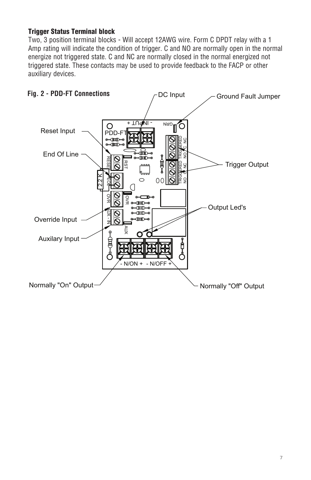#### Trigger Status Terminal block

Two, 3 position terminal blocks - Will accept 12AWG wire. Form C DPDT relay with a 1 Amp rating will indicate the condition of trigger. C and NO are normally open in the normal energize not triggered state. C and NC are normally closed in the normal energized not triggered state. These contacts may be used to provide feedback to the FACP or other auxiliary devices.

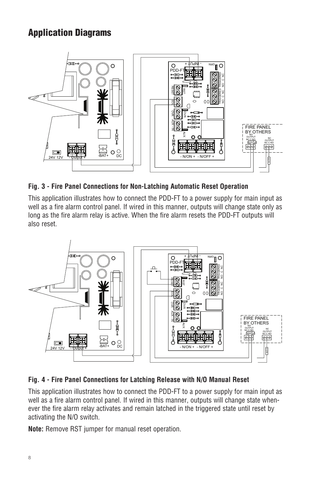## Application Diagrams



#### **Fig. 3 - Fire Panel Connections for Non-Latching Automatic Reset Operation**

This application illustrates how to connect the PDD-FT to a power supply for main input as well as a fire alarm control panel. If wired in this manner, outputs will change state only as long as the fire alarm relay is active. When the fire alarm resets the PDD-FT outputs will also reset.



### **Fig. 4 - Fire Panel Connections for Latching Release with N/O Manual Reset**

This application illustrates how to connect the PDD-FT to a power supply for main input as well as a fire alarm control panel. If wired in this manner, outputs will change state whenever the fire alarm relay activates and remain latched in the triggered state until reset by activating the N/O switch.

**Note:** Remove RST jumper for manual reset operation.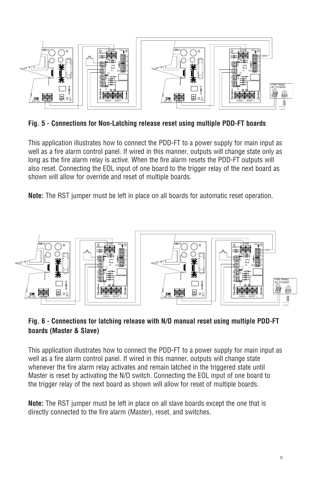

**Fig. 5 - Connections for Non-Latching release reset using multiple PDD-FT boards**

This application illustrates how to connect the PDD-FT to a power supply for main input as well as a fire alarm control panel. If wired in this manner, outputs will change state only as long as the fire alarm relay is active. When the fire alarm resets the PDD-FT outputs will also reset. Connecting the EOL input of one board to the trigger relay of the next board as shown will allow for override and reset of multiple boards.

**Note:** The RST jumper must be left in place on all boards for automatic reset operation.



### **Fig. 6 - Connections for latching release with N/O manual reset using multiple PDD-FT boards (Master & Slave)**

This application illustrates how to connect the PDD-FT to a power supply for main input as well as a fire alarm control panel. If wired in this manner, outputs will change state whenever the fire alarm relay activates and remain latched in the triggered state until Master is reset by activating the N/O switch. Connecting the EOL input of one board to the trigger relay of the next board as shown will allow for reset of multiple boards.

**Note:** The RST jumper must be left in place on all slave boards except the one that is directly connected to the fire alarm (Master), reset, and switches.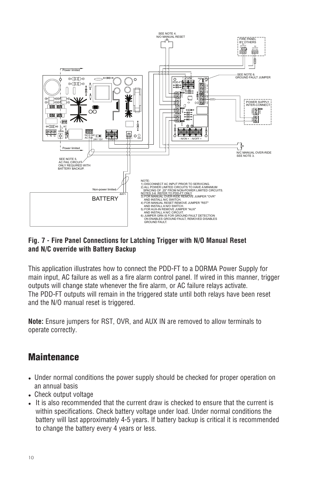

#### **Fig. 7 - Fire Panel Connections for Latching Trigger with N/O Manual Reset and N/C override with Battery Backup**

This application illustrates how to connect the PDD-FT to a DORMA Power Supply for main input, AC failure as well as a fire alarm control panel. If wired in this manner, trigger outputs will change state whenever the fire alarm, or AC failure relays activate. The PDD-FT outputs will remain in the triggered state until both relays have been reset and the N/O manual reset is triggered.

**Note:** Ensure jumpers for RST, OVR, and AUX IN are removed to allow terminals to operate correctly.

## **Maintenance**

- Under normal conditions the power supply should be checked for proper operation on an annual basis
- Check output voltage
- It is also recommended that the current draw is checked to ensure that the current is within specifications. Check battery voltage under load. Under normal conditions the battery will last approximately 4-5 years. If battery backup is critical it is recommended to change the battery every 4 years or less.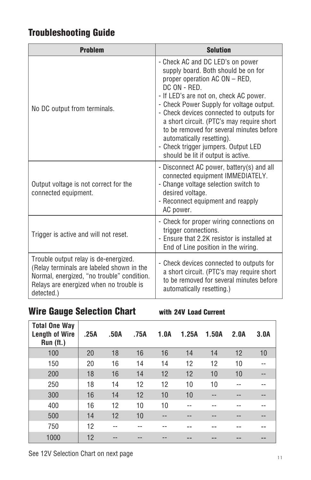## Troubleshooting Guide

| <b>Problem</b>                                                                                                                                                                            | <b>Solution</b>                                                                                                                                                                                                                                                                                                                                                                                                                                                 |  |  |  |  |
|-------------------------------------------------------------------------------------------------------------------------------------------------------------------------------------------|-----------------------------------------------------------------------------------------------------------------------------------------------------------------------------------------------------------------------------------------------------------------------------------------------------------------------------------------------------------------------------------------------------------------------------------------------------------------|--|--|--|--|
| No DC output from terminals.                                                                                                                                                              | - Check AC and DC LED's on power<br>supply board. Both should be on for<br>proper operation AC ON - RED,<br>$DCON - RFD$ .<br>- If LED's are not on, check AC power.<br>- Check Power Supply for voltage output.<br>- Check devices connected to outputs for<br>a short circuit. (PTC's may require short<br>to be removed for several minutes before<br>automatically resetting).<br>- Check trigger jumpers. Output LED<br>should be lit if output is active. |  |  |  |  |
| Output voltage is not correct for the<br>connected equipment.                                                                                                                             | - Disconnect AC power, battery(s) and all<br>connected equipment IMMEDIATELY.<br>- Change voltage selection switch to<br>desired voltage.<br>- Reconnect equipment and reapply<br>AC power.                                                                                                                                                                                                                                                                     |  |  |  |  |
| Trigger is active and will not reset.                                                                                                                                                     | - Check for proper wiring connections on<br>trigger connections.<br>- Ensure that 2.2K resistor is installed at<br>End of Line position in the wiring.                                                                                                                                                                                                                                                                                                          |  |  |  |  |
| Trouble output relay is de-energized.<br>(Relay terminals are labeled shown in the<br>Normal, energized, "no trouble" condition.<br>Relays are energized when no trouble is<br>detected.) | - Check devices connected to outputs for<br>a short circuit. (PTC's may require short<br>to be removed for several minutes before<br>automatically resetting.)                                                                                                                                                                                                                                                                                                  |  |  |  |  |

## Wire Gauge Selection Chart with 24V Load Current

| <b>Total One Way</b><br><b>Length of Wire</b><br>Run (ft.) | .25A | .50A | .75A | 1.0A | 1.25A | 1.50A | 2.0A | 3.0A |
|------------------------------------------------------------|------|------|------|------|-------|-------|------|------|
| 100                                                        | 20   | 18   | 16   | 16   | 14    | 14    | 12   | 10   |
| 150                                                        | 20   | 16   | 14   | 14   | 12    | 12    | 10   |      |
| 200                                                        | 18   | 16   | 14   | 12   | 12    | 10    | 10   |      |
| 250                                                        | 18   | 14   | 12   | 12   | 10    | 10    |      |      |
| 300                                                        | 16   | 14   | 12   | 10   | 10    | --    |      |      |
| 400                                                        | 16   | 12   | 10   | 10   |       |       |      |      |
| 500                                                        | 14   | 12   | 10   | --   |       | --    |      |      |
| 750                                                        | 12   | --   |      |      |       |       |      |      |
| 1000                                                       | 12   |      |      |      |       |       |      |      |